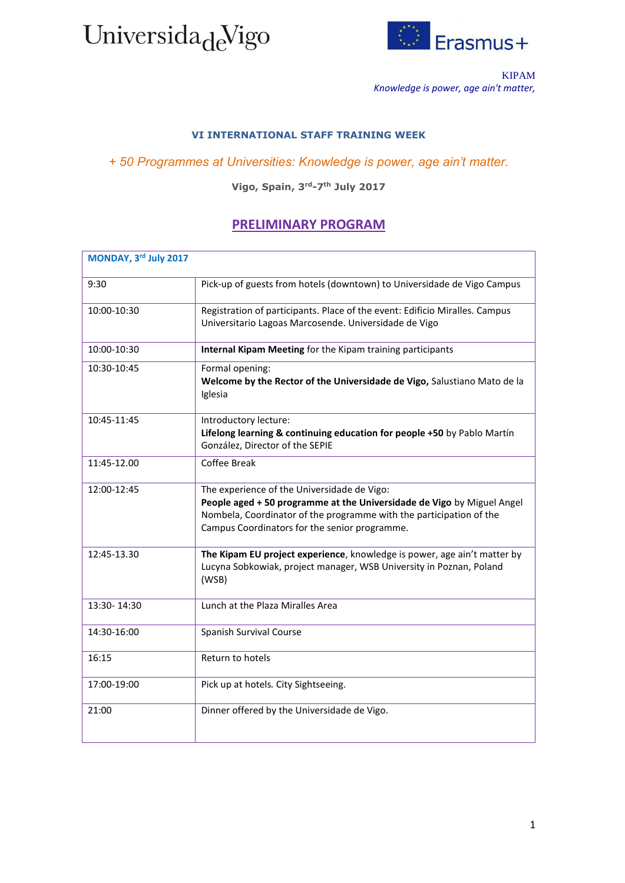



KIPAM *Knowledge is power, age ain't matter,*

## **VI INTERNATIONAL STAFF TRAINING WEEK**

## *+ 50 Programmes at Universities: Knowledge is power, age ain't matter.*

**Vigo, Spain, 3rd-7th July 2017**

## **PRELIMINARY PROGRAM**

| MONDAY, 3rd July 2017 |                                                                                                                                                                                                                                               |
|-----------------------|-----------------------------------------------------------------------------------------------------------------------------------------------------------------------------------------------------------------------------------------------|
| 9:30                  | Pick-up of guests from hotels (downtown) to Universidade de Vigo Campus                                                                                                                                                                       |
| 10:00-10:30           | Registration of participants. Place of the event: Edificio Miralles. Campus<br>Universitario Lagoas Marcosende. Universidade de Vigo                                                                                                          |
| 10:00-10:30           | Internal Kipam Meeting for the Kipam training participants                                                                                                                                                                                    |
| 10:30-10:45           | Formal opening:<br>Welcome by the Rector of the Universidade de Vigo, Salustiano Mato de la<br>Iglesia                                                                                                                                        |
| 10:45-11:45           | Introductory lecture:<br>Lifelong learning & continuing education for people +50 by Pablo Martín<br>González, Director of the SEPIE                                                                                                           |
| 11:45-12.00           | <b>Coffee Break</b>                                                                                                                                                                                                                           |
| 12:00-12:45           | The experience of the Universidade de Vigo:<br>People aged + 50 programme at the Universidade de Vigo by Miguel Angel<br>Nombela, Coordinator of the programme with the participation of the<br>Campus Coordinators for the senior programme. |
| 12:45-13.30           | The Kipam EU project experience, knowledge is power, age ain't matter by<br>Lucyna Sobkowiak, project manager, WSB University in Poznan, Poland<br>(WSB)                                                                                      |
| 13:30-14:30           | Lunch at the Plaza Miralles Area                                                                                                                                                                                                              |
| 14:30-16:00           | Spanish Survival Course                                                                                                                                                                                                                       |
| 16:15                 | Return to hotels                                                                                                                                                                                                                              |
| 17:00-19:00           | Pick up at hotels. City Sightseeing.                                                                                                                                                                                                          |
| 21:00                 | Dinner offered by the Universidade de Vigo.                                                                                                                                                                                                   |